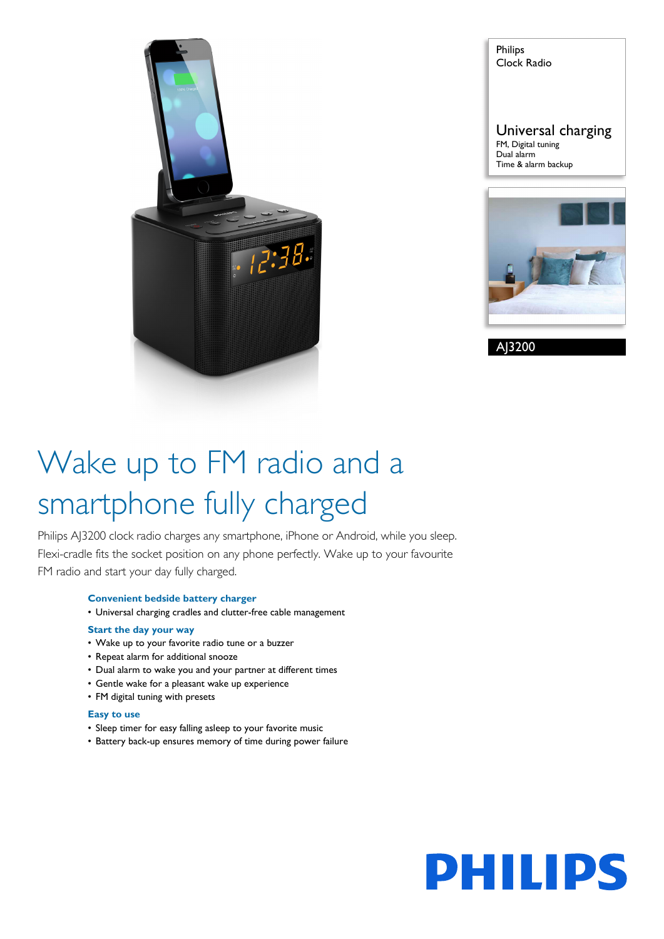

Philips Clock Radio Universal charging FM, Digital tuning Dual alarm Time & alarm backup



AJ3200

# Wake up to FM radio and a smartphone fully charged

Philips AJ3200 clock radio charges any smartphone, iPhone or Android, while you sleep. Flexi-cradle fits the socket position on any phone perfectly. Wake up to your favourite FM radio and start your day fully charged.

#### **Convenient bedside battery charger**

• Universal charging cradles and clutter-free cable management

#### **Start the day your way**

- Wake up to your favorite radio tune or a buzzer
- Repeat alarm for additional snooze
- Dual alarm to wake you and your partner at different times
- Gentle wake for a pleasant wake up experience
- FM digital tuning with presets

#### **Easy to use**

- Sleep timer for easy falling asleep to your favorite music
- Battery back-up ensures memory of time during power failure

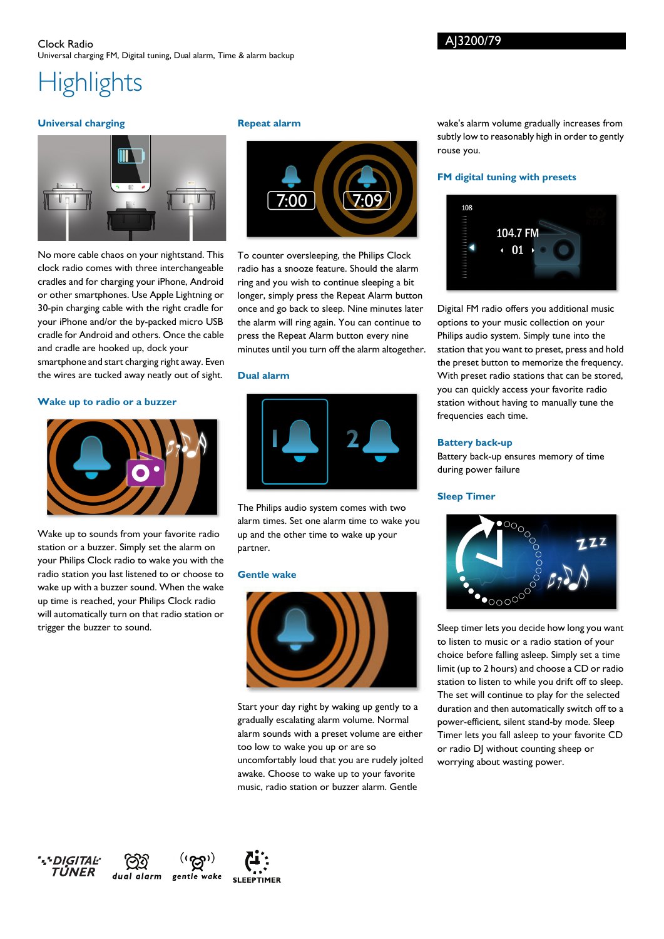#### Clock Radio Universal charging FM, Digital tuning, Dual alarm, Time & alarm backup

## **Highlights**

#### **Universal charging**



No more cable chaos on your nightstand. This clock radio comes with three interchangeable cradles and for charging your iPhone, Android or other smartphones. Use Apple Lightning or 30-pin charging cable with the right cradle for your iPhone and/or the by-packed micro USB cradle for Android and others. Once the cable and cradle are hooked up, dock your smartphone and start charging right away. Even

the wires are tucked away neatly out of sight.

#### **Wake up to radio or a buzzer**



Wake up to sounds from your favorite radio station or a buzzer. Simply set the alarm on your Philips Clock radio to wake you with the radio station you last listened to or choose to wake up with a buzzer sound. When the wake up time is reached, your Philips Clock radio will automatically turn on that radio station or trigger the buzzer to sound.

#### **Repeat alarm**



To counter oversleeping, the Philips Clock radio has a snooze feature. Should the alarm ring and you wish to continue sleeping a bit longer, simply press the Repeat Alarm button once and go back to sleep. Nine minutes later the alarm will ring again. You can continue to press the Repeat Alarm button every nine minutes until you turn off the alarm altogether.

#### **Dual alarm**



The Philips audio system comes with two alarm times. Set one alarm time to wake you up and the other time to wake up your partner.

#### **Gentle wake**



Start your day right by waking up gently to a gradually escalating alarm volume. Normal alarm sounds with a preset volume are either too low to wake you up or are so uncomfortably loud that you are rudely jolted awake. Choose to wake up to your favorite music, radio station or buzzer alarm. Gentle

wake's alarm volume gradually increases from subtly low to reasonably high in order to gently rouse you.

#### **FM digital tuning with presets**



Digital FM radio offers you additional music options to your music collection on your Philips audio system. Simply tune into the station that you want to preset, press and hold the preset button to memorize the frequency. With preset radio stations that can be stored, you can quickly access your favorite radio station without having to manually tune the frequencies each time.

#### **Battery back-up**

Battery back-up ensures memory of time during power failure

#### **Sleep Timer**



Sleep timer lets you decide how long you want to listen to music or a radio station of your choice before falling asleep. Simply set a time limit (up to 2 hours) and choose a CD or radio station to listen to while you drift off to sleep. The set will continue to play for the selected duration and then automatically switch off to a power-efficient, silent stand-by mode. Sleep Timer lets you fall asleep to your favorite CD or radio DJ without counting sheep or worrying about wasting power.